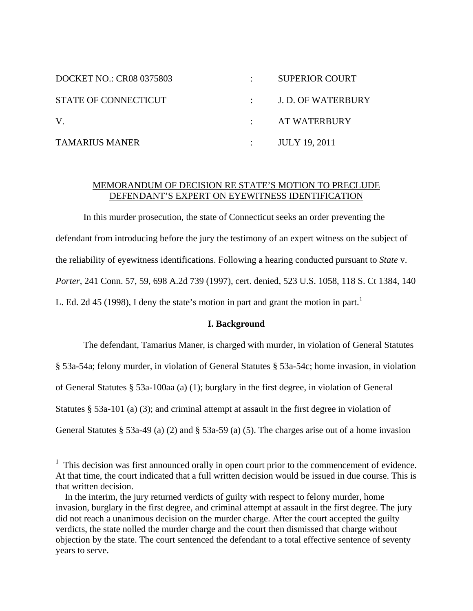| <b>DOCKET NO.: CR08 0375803</b> | <b>SUPERIOR COURT</b>          |
|---------------------------------|--------------------------------|
| STATE OF CONNECTICUT            | $\therefore$ J.D. OF WATERBURY |
| V.                              | AT WATERBURY                   |
| <b>TAMARIUS MANER</b>           | <b>JULY 19, 2011</b>           |

# MEMORANDUM OF DECISION RE STATE'S MOTION TO PRECLUDE DEFENDANT'S EXPERT ON EYEWITNESS IDENTIFICATION

In this murder prosecution, the state of Connecticut seeks an order preventing the defendant from introducing before the jury the testimony of an expert witness on the subject of the reliability of eyewitness identifications. Following a hearing conducted pursuant to *State* v. *Porter*, 241 Conn. 57, 59, 698 A.2d 739 (1997), cert. denied, 523 U.S. 1058, 118 S. Ct 1384, 140 L. Ed. 2d 45 ([1](#page-0-0)998), I deny the state's motion in part and grant the motion in part.<sup>1</sup>

## **I. Background**

The defendant, Tamarius Maner, is charged with murder, in violation of General Statutes § 53a-54a; felony murder, in violation of General Statutes § 53a-54c; home invasion, in violation of General Statutes § 53a-100aa (a) (1); burglary in the first degree, in violation of General Statutes § 53a-101 (a) (3); and criminal attempt at assault in the first degree in violation of General Statutes § 53a-49 (a) (2) and § 53a-59 (a) (5). The charges arise out of a home invasion

 $\overline{a}$ 

<span id="page-0-0"></span> $<sup>1</sup>$  This decision was first announced orally in open court prior to the commencement of evidence.</sup> At that time, the court indicated that a full written decision would be issued in due course. This is that written decision.

In the interim, the jury returned verdicts of guilty with respect to felony murder, home invasion, burglary in the first degree, and criminal attempt at assault in the first degree. The jury did not reach a unanimous decision on the murder charge. After the court accepted the guilty verdicts, the state nolled the murder charge and the court then dismissed that charge without objection by the state. The court sentenced the defendant to a total effective sentence of seventy years to serve.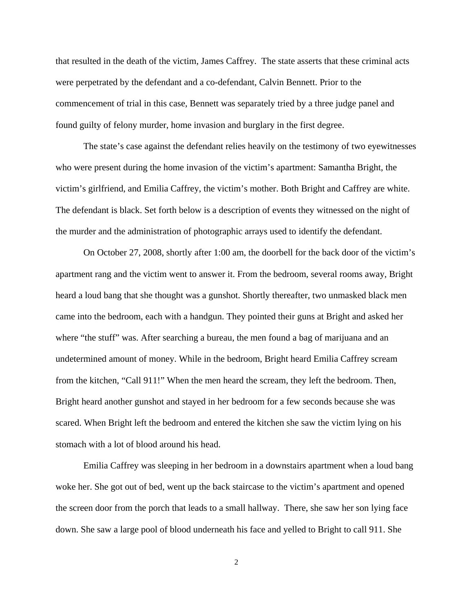that resulted in the death of the victim, James Caffrey. The state asserts that these criminal acts were perpetrated by the defendant and a co-defendant, Calvin Bennett. Prior to the commencement of trial in this case, Bennett was separately tried by a three judge panel and found guilty of felony murder, home invasion and burglary in the first degree.

The state's case against the defendant relies heavily on the testimony of two eyewitnesses who were present during the home invasion of the victim's apartment: Samantha Bright, the victim's girlfriend, and Emilia Caffrey, the victim's mother. Both Bright and Caffrey are white. The defendant is black. Set forth below is a description of events they witnessed on the night of the murder and the administration of photographic arrays used to identify the defendant.

On October 27, 2008, shortly after 1:00 am, the doorbell for the back door of the victim's apartment rang and the victim went to answer it. From the bedroom, several rooms away, Bright heard a loud bang that she thought was a gunshot. Shortly thereafter, two unmasked black men came into the bedroom, each with a handgun. They pointed their guns at Bright and asked her where "the stuff" was. After searching a bureau, the men found a bag of marijuana and an undetermined amount of money. While in the bedroom, Bright heard Emilia Caffrey scream from the kitchen, "Call 911!" When the men heard the scream, they left the bedroom. Then, Bright heard another gunshot and stayed in her bedroom for a few seconds because she was scared. When Bright left the bedroom and entered the kitchen she saw the victim lying on his stomach with a lot of blood around his head.

Emilia Caffrey was sleeping in her bedroom in a downstairs apartment when a loud bang woke her. She got out of bed, went up the back staircase to the victim's apartment and opened the screen door from the porch that leads to a small hallway. There, she saw her son lying face down. She saw a large pool of blood underneath his face and yelled to Bright to call 911. She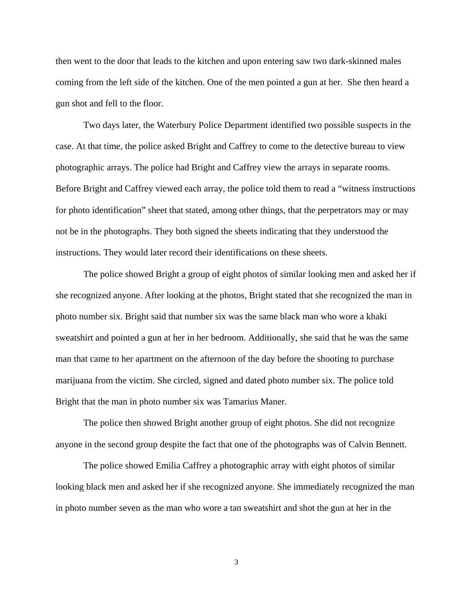then went to the door that leads to the kitchen and upon entering saw two dark-skinned males coming from the left side of the kitchen. One of the men pointed a gun at her. She then heard a gun shot and fell to the floor.

Two days later, the Waterbury Police Department identified two possible suspects in the case. At that time, the police asked Bright and Caffrey to come to the detective bureau to view photographic arrays. The police had Bright and Caffrey view the arrays in separate rooms. Before Bright and Caffrey viewed each array, the police told them to read a "witness instructions for photo identification" sheet that stated, among other things, that the perpetrators may or may not be in the photographs. They both signed the sheets indicating that they understood the instructions. They would later record their identifications on these sheets.

The police showed Bright a group of eight photos of similar looking men and asked her if she recognized anyone. After looking at the photos, Bright stated that she recognized the man in photo number six. Bright said that number six was the same black man who wore a khaki sweatshirt and pointed a gun at her in her bedroom. Additionally, she said that he was the same man that came to her apartment on the afternoon of the day before the shooting to purchase marijuana from the victim. She circled, signed and dated photo number six. The police told Bright that the man in photo number six was Tamarius Maner.

The police then showed Bright another group of eight photos. She did not recognize anyone in the second group despite the fact that one of the photographs was of Calvin Bennett.

The police showed Emilia Caffrey a photographic array with eight photos of similar looking black men and asked her if she recognized anyone. She immediately recognized the man in photo number seven as the man who wore a tan sweatshirt and shot the gun at her in the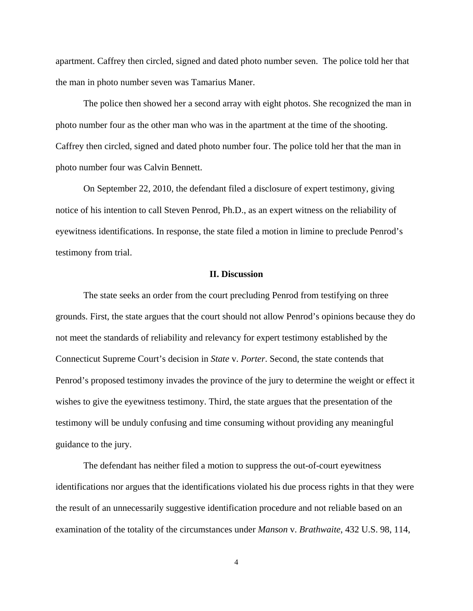apartment. Caffrey then circled, signed and dated photo number seven. The police told her that the man in photo number seven was Tamarius Maner.

The police then showed her a second array with eight photos. She recognized the man in photo number four as the other man who was in the apartment at the time of the shooting. Caffrey then circled, signed and dated photo number four. The police told her that the man in photo number four was Calvin Bennett.

On September 22, 2010, the defendant filed a disclosure of expert testimony, giving notice of his intention to call Steven Penrod, Ph.D., as an expert witness on the reliability of eyewitness identifications. In response, the state filed a motion in limine to preclude Penrod's testimony from trial.

### **II. Discussion**

The state seeks an order from the court precluding Penrod from testifying on three grounds. First, the state argues that the court should not allow Penrod's opinions because they do not meet the standards of reliability and relevancy for expert testimony established by the Connecticut Supreme Court's decision in *State* v. *Porter*. Second, the state contends that Penrod's proposed testimony invades the province of the jury to determine the weight or effect it wishes to give the eyewitness testimony. Third, the state argues that the presentation of the testimony will be unduly confusing and time consuming without providing any meaningful guidance to the jury.

The defendant has neither filed a motion to suppress the out-of-court eyewitness identifications nor argues that the identifications violated his due process rights in that they were the result of an unnecessarily suggestive identification procedure and not reliable based on an examination of the totality of the circumstances under *Manson* v. *Brathwaite*, 432 U.S. 98, 114,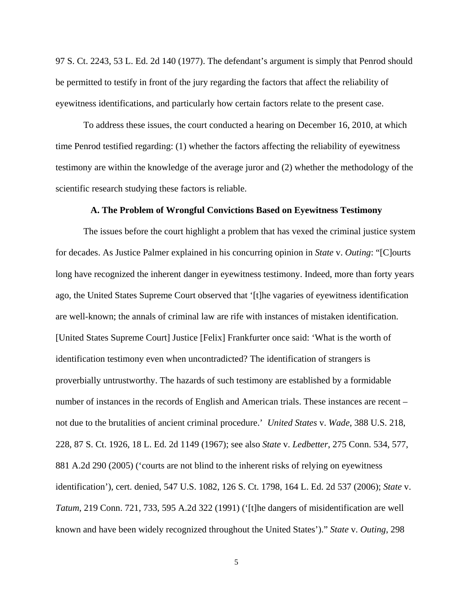97 S. Ct. 2243, 53 L. Ed. 2d 140 (1977). The defendant's argument is simply that Penrod should be permitted to testify in front of the jury regarding the factors that affect the reliability of eyewitness identifications, and particularly how certain factors relate to the present case.

To address these issues, the court conducted a hearing on December 16, 2010, at which time Penrod testified regarding: (1) whether the factors affecting the reliability of eyewitness testimony are within the knowledge of the average juror and (2) whether the methodology of the scientific research studying these factors is reliable.

## **A. The Problem of Wrongful Convictions Based on Eyewitness Testimony**

 The issues before the court highlight a problem that has vexed the criminal justice system for decades. As Justice Palmer explained in his concurring opinion in *State* v. *Outing*: "[C]ourts long have recognized the inherent danger in eyewitness testimony. Indeed, more than forty years ago, the United States Supreme Court observed that '[t]he vagaries of eyewitness identification are well-known; the annals of criminal law are rife with instances of mistaken identification. [United States Supreme Court] Justice [Felix] Frankfurter once said: 'What is the worth of identification testimony even when uncontradicted? The identification of strangers is proverbially untrustworthy. The hazards of such testimony are established by a formidable number of instances in the records of English and American trials. These instances are recent – not due to the brutalities of ancient criminal procedure.' *United States* v. *Wade*, 388 U.S. 218, 228, 87 S. Ct. 1926, 18 L. Ed. 2d 1149 (1967); see also *State* v. *Ledbetter*, 275 Conn. 534, 577, 881 A.2d 290 (2005) ('courts are not blind to the inherent risks of relying on eyewitness identification'), cert. denied, 547 U.S. 1082, 126 S. Ct. 1798, 164 L. Ed. 2d 537 (2006); *State* v. *Tatum*, 219 Conn. 721, 733, 595 A.2d 322 (1991) ('[t]he dangers of misidentification are well known and have been widely recognized throughout the United States')." *State* v. *Outing*, 298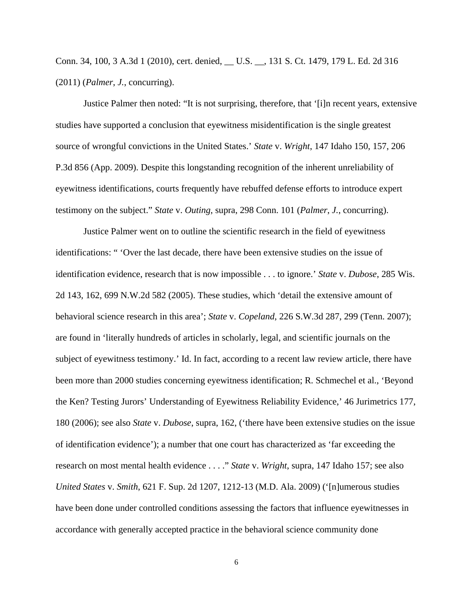Conn. 34, 100, 3 A.3d 1 (2010), cert. denied, \_\_ U.S. \_\_, 131 S. Ct. 1479, 179 L. Ed. 2d 316 (2011) (*Palmer*, *J.*, concurring).

Justice Palmer then noted: "It is not surprising, therefore, that '[i]n recent years, extensive studies have supported a conclusion that eyewitness misidentification is the single greatest source of wrongful convictions in the United States.' *State* v. *Wright*, 147 Idaho 150, 157, 206 P.3d 856 (App. 2009). Despite this longstanding recognition of the inherent unreliability of eyewitness identifications, courts frequently have rebuffed defense efforts to introduce expert testimony on the subject." *State* v. *Outing*, supra, 298 Conn. 101 (*Palmer*, *J.*, concurring).

Justice Palmer went on to outline the scientific research in the field of eyewitness identifications: " 'Over the last decade, there have been extensive studies on the issue of identification evidence, research that is now impossible . . . to ignore.' *State* v. *Dubose*, 285 Wis. 2d 143, 162, 699 N.W.2d 582 (2005). These studies, which 'detail the extensive amount of behavioral science research in this area'; *State* v. *Copeland*, 226 S.W.3d 287, 299 (Tenn. 2007); are found in 'literally hundreds of articles in scholarly, legal, and scientific journals on the subject of eyewitness testimony.' Id. In fact, according to a recent law review article, there have been more than 2000 studies concerning eyewitness identification; R. Schmechel et al., 'Beyond the Ken? Testing Jurors' Understanding of Eyewitness Reliability Evidence,' 46 Jurimetrics 177, 180 (2006); see also *State* v. *Dubose*, supra, 162, ('there have been extensive studies on the issue of identification evidence'); a number that one court has characterized as 'far exceeding the research on most mental health evidence . . . ." *State* v. *Wright*, supra, 147 Idaho 157; see also *United States* v. *Smith*, 621 F. Sup. 2d 1207, 1212-13 (M.D. Ala. 2009) ('[n]umerous studies have been done under controlled conditions assessing the factors that influence eyewitnesses in accordance with generally accepted practice in the behavioral science community done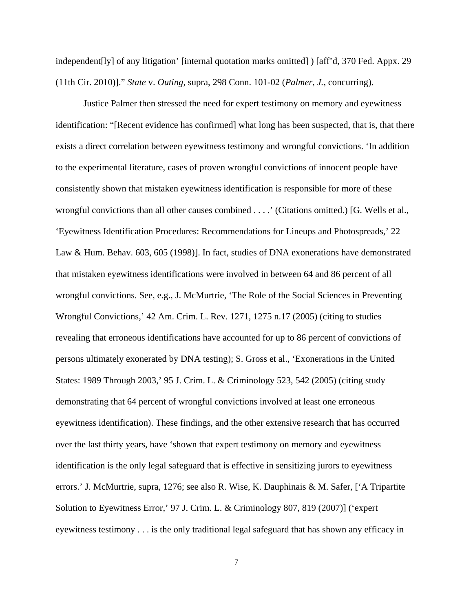independent[ly] of any litigation' [internal quotation marks omitted] ) [aff'd, 370 Fed. Appx. 29 (11th Cir. 2010)]." *State* v. *Outing*, supra, 298 Conn. 101-02 (*Palmer*, *J.*, concurring).

Justice Palmer then stressed the need for expert testimony on memory and eyewitness identification: "[Recent evidence has confirmed] what long has been suspected, that is, that there exists a direct correlation between eyewitness testimony and wrongful convictions. 'In addition to the experimental literature, cases of proven wrongful convictions of innocent people have consistently shown that mistaken eyewitness identification is responsible for more of these wrongful convictions than all other causes combined . . . .' (Citations omitted.) [G. Wells et al., 'Eyewitness Identification Procedures: Recommendations for Lineups and Photospreads,' 22 Law & Hum. Behav. 603, 605 (1998)]. In fact, studies of DNA exonerations have demonstrated that mistaken eyewitness identifications were involved in between 64 and 86 percent of all wrongful convictions. See, e.g., J. McMurtrie, 'The Role of the Social Sciences in Preventing Wrongful Convictions,' 42 Am. Crim. L. Rev. 1271, 1275 n.17 (2005) (citing to studies revealing that erroneous identifications have accounted for up to 86 percent of convictions of persons ultimately exonerated by DNA testing); S. Gross et al., 'Exonerations in the United States: 1989 Through 2003,' 95 J. Crim. L. & Criminology 523, 542 (2005) (citing study demonstrating that 64 percent of wrongful convictions involved at least one erroneous eyewitness identification). These findings, and the other extensive research that has occurred over the last thirty years, have 'shown that expert testimony on memory and eyewitness identification is the only legal safeguard that is effective in sensitizing jurors to eyewitness errors.' J. McMurtrie, supra, 1276; see also R. Wise, K. Dauphinais & M. Safer, ['A Tripartite Solution to Eyewitness Error,' 97 J. Crim. L. & Criminology 807, 819 (2007)] ('expert eyewitness testimony . . . is the only traditional legal safeguard that has shown any efficacy in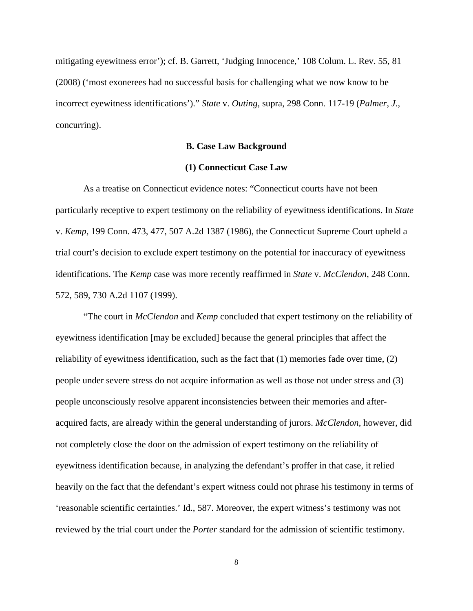mitigating eyewitness error'); cf. B. Garrett, 'Judging Innocence,' 108 Colum. L. Rev. 55, 81 (2008) ('most exonerees had no successful basis for challenging what we now know to be incorrect eyewitness identifications')." *State* v. *Outing*, supra, 298 Conn. 117-19 (*Palmer*, *J.*, concurring).

### **B. Case Law Background**

## **(1) Connecticut Case Law**

As a treatise on Connecticut evidence notes: "Connecticut courts have not been particularly receptive to expert testimony on the reliability of eyewitness identifications. In *State* v. *Kemp*, 199 Conn. 473, 477, 507 A.2d 1387 (1986), the Connecticut Supreme Court upheld a trial court's decision to exclude expert testimony on the potential for inaccuracy of eyewitness identifications. The *Kemp* case was more recently reaffirmed in *State* v. *McClendon*, 248 Conn. 572, 589, 730 A.2d 1107 (1999).

 "The court in *McClendon* and *Kemp* concluded that expert testimony on the reliability of eyewitness identification [may be excluded] because the general principles that affect the reliability of eyewitness identification, such as the fact that (1) memories fade over time, (2) people under severe stress do not acquire information as well as those not under stress and (3) people unconsciously resolve apparent inconsistencies between their memories and afteracquired facts, are already within the general understanding of jurors. *McClendon*, however, did not completely close the door on the admission of expert testimony on the reliability of eyewitness identification because, in analyzing the defendant's proffer in that case, it relied heavily on the fact that the defendant's expert witness could not phrase his testimony in terms of 'reasonable scientific certainties.' Id., 587. Moreover, the expert witness's testimony was not reviewed by the trial court under the *Porter* standard for the admission of scientific testimony.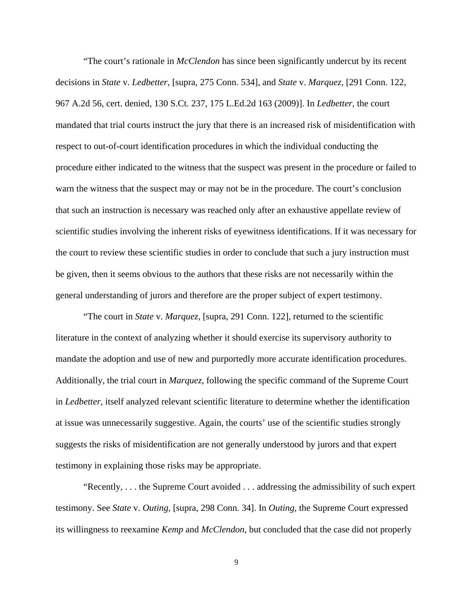"The court's rationale in *McClendon* has since been significantly undercut by its recent decisions in *State* v. *Ledbetter*, [supra, 275 Conn. 534], and *State* v. *Marquez*, [291 Conn. 122, 967 A.2d 56, cert. denied, 130 S.Ct. 237, 175 L.Ed.2d 163 (2009)]. In *Ledbetter*, the court mandated that trial courts instruct the jury that there is an increased risk of misidentification with respect to out-of-court identification procedures in which the individual conducting the procedure either indicated to the witness that the suspect was present in the procedure or failed to warn the witness that the suspect may or may not be in the procedure. The court's conclusion that such an instruction is necessary was reached only after an exhaustive appellate review of scientific studies involving the inherent risks of eyewitness identifications. If it was necessary for the court to review these scientific studies in order to conclude that such a jury instruction must be given, then it seems obvious to the authors that these risks are not necessarily within the general understanding of jurors and therefore are the proper subject of expert testimony.

"The court in *State* v. *Marquez*, [supra, 291 Conn. 122], returned to the scientific literature in the context of analyzing whether it should exercise its supervisory authority to mandate the adoption and use of new and purportedly more accurate identification procedures. Additionally, the trial court in *Marquez*, following the specific command of the Supreme Court in *Ledbetter*, itself analyzed relevant scientific literature to determine whether the identification at issue was unnecessarily suggestive. Again, the courts' use of the scientific studies strongly suggests the risks of misidentification are not generally understood by jurors and that expert testimony in explaining those risks may be appropriate.

"Recently, . . . the Supreme Court avoided . . . addressing the admissibility of such expert testimony. See *State* v. *Outing*, [supra, 298 Conn. 34]. In *Outing*, the Supreme Court expressed its willingness to reexamine *Kemp* and *McClendon*, but concluded that the case did not properly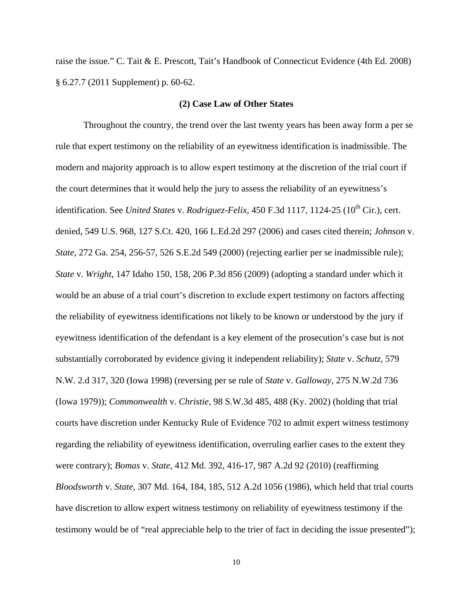raise the issue." C. Tait & E. Prescott, Tait's Handbook of Connecticut Evidence (4th Ed. 2008) § 6.27.7 (2011 Supplement) p. 60-62.

## **(2) Case Law of Other States**

Throughout the country, the trend over the last twenty years has been away form a per se rule that expert testimony on the reliability of an eyewitness identification is inadmissible. The modern and majority approach is to allow expert testimony at the discretion of the trial court if the court determines that it would help the jury to assess the reliability of an eyewitness's identification. See *United States v. Rodriguez-Felix*, 450 F.3d 1117, 1124-25 (10<sup>th</sup> Cir.), cert. denied, 549 U.S. 968, 127 S.Ct. 420, 166 L.Ed.2d 297 (2006) and cases cited therein; *Johnson* v. *State*, 272 Ga. 254, 256-57, 526 S.E.2d 549 (2000) (rejecting earlier per se inadmissible rule); *State* v. *Wright*, 147 Idaho 150, 158, 206 P.3d 856 (2009) (adopting a standard under which it would be an abuse of a trial court's discretion to exclude expert testimony on factors affecting the reliability of eyewitness identifications not likely to be known or understood by the jury if eyewitness identification of the defendant is a key element of the prosecution's case but is not substantially corroborated by evidence giving it independent reliability); *State* v. *Schutz*, 579 N.W. 2.d 317, 320 (Iowa 1998) (reversing per se rule of *State* v. *Galloway*, 275 N.W.2d 736 (Iowa 1979)); *Commonwealth* v. *Christie*, 98 S.W.3d 485, 488 (Ky. 2002) (holding that trial courts have discretion under Kentucky Rule of Evidence 702 to admit expert witness testimony regarding the reliability of eyewitness identification, overruling earlier cases to the extent they were contrary); *Bomas* v. *State*, 412 Md. 392, 416-17, 987 A.2d 92 (2010) (reaffirming *Bloodsworth* v. *State*, 307 Md. 164, 184, 185, 512 A.2d 1056 (1986), which held that trial courts have discretion to allow expert witness testimony on reliability of eyewitness testimony if the testimony would be of "real appreciable help to the trier of fact in deciding the issue presented");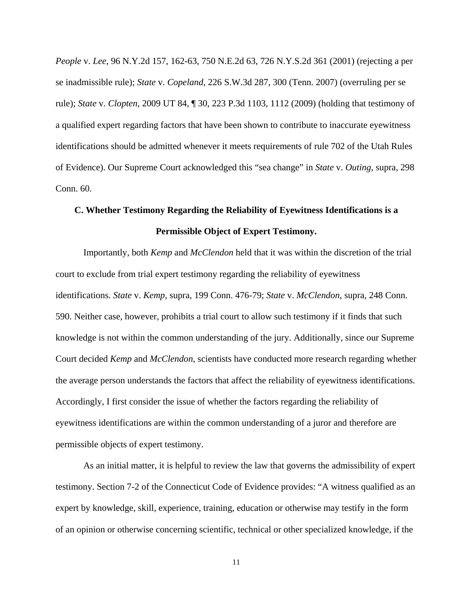*People* v. *Lee*, 96 N.Y.2d 157, 162-63, 750 N.E.2d 63, 726 N.Y.S.2d 361 (2001) (rejecting a per se inadmissible rule); *State* v. *Copeland*, 226 S.W.3d 287, 300 (Tenn. 2007) (overruling per se rule); *State* v. *Clopten*, 2009 UT 84, ¶ 30, 223 P.3d 1103, 1112 (2009) (holding that testimony of a qualified expert regarding factors that have been shown to contribute to inaccurate eyewitness identifications should be admitted whenever it meets requirements of rule 702 of the Utah Rules of Evidence). Our Supreme Court acknowledged this "sea change" in *State* v. *Outing*, supra, 298 Conn. 60.

# **C. Whether Testimony Regarding the Reliability of Eyewitness Identifications is a Permissible Object of Expert Testimony.**

Importantly, both *Kemp* and *McClendon* held that it was within the discretion of the trial court to exclude from trial expert testimony regarding the reliability of eyewitness identifications. *State* v. *Kemp*, supra, 199 Conn. 476-79; *State* v. *McClendon*, supra, 248 Conn. 590. Neither case, however, prohibits a trial court to allow such testimony if it finds that such knowledge is not within the common understanding of the jury. Additionally, since our Supreme Court decided *Kemp* and *McClendon*, scientists have conducted more research regarding whether the average person understands the factors that affect the reliability of eyewitness identifications. Accordingly, I first consider the issue of whether the factors regarding the reliability of eyewitness identifications are within the common understanding of a juror and therefore are permissible objects of expert testimony.

As an initial matter, it is helpful to review the law that governs the admissibility of expert testimony. Section 7-2 of the Connecticut Code of Evidence provides: "A witness qualified as an expert by knowledge, skill, experience, training, education or otherwise may testify in the form of an opinion or otherwise concerning scientific, technical or other specialized knowledge, if the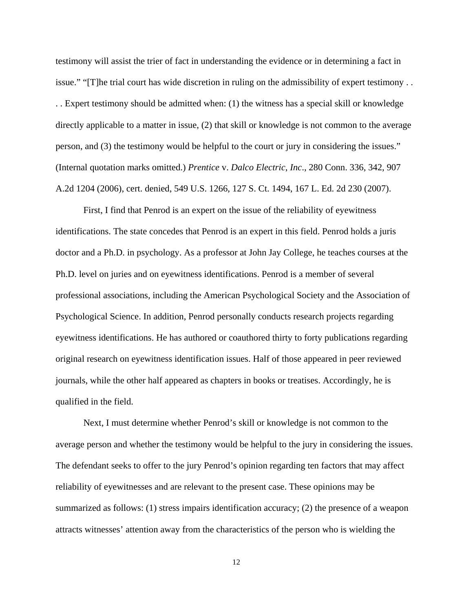testimony will assist the trier of fact in understanding the evidence or in determining a fact in issue." "[T]he trial court has wide discretion in ruling on the admissibility of expert testimony . . . . Expert testimony should be admitted when: (1) the witness has a special skill or knowledge directly applicable to a matter in issue, (2) that skill or knowledge is not common to the average person, and (3) the testimony would be helpful to the court or jury in considering the issues." (Internal quotation marks omitted.) *Prentice* v. *Dalco Electric*, *Inc*., 280 Conn. 336, 342, 907 A.2d 1204 (2006), cert. denied, 549 U.S. 1266, 127 S. Ct. 1494, 167 L. Ed. 2d 230 (2007).

First, I find that Penrod is an expert on the issue of the reliability of eyewitness identifications. The state concedes that Penrod is an expert in this field. Penrod holds a juris doctor and a Ph.D. in psychology. As a professor at John Jay College, he teaches courses at the Ph.D. level on juries and on eyewitness identifications. Penrod is a member of several professional associations, including the American Psychological Society and the Association of Psychological Science. In addition, Penrod personally conducts research projects regarding eyewitness identifications. He has authored or coauthored thirty to forty publications regarding original research on eyewitness identification issues. Half of those appeared in peer reviewed journals, while the other half appeared as chapters in books or treatises. Accordingly, he is qualified in the field.

 Next, I must determine whether Penrod's skill or knowledge is not common to the average person and whether the testimony would be helpful to the jury in considering the issues. The defendant seeks to offer to the jury Penrod's opinion regarding ten factors that may affect reliability of eyewitnesses and are relevant to the present case. These opinions may be summarized as follows: (1) stress impairs identification accuracy; (2) the presence of a weapon attracts witnesses' attention away from the characteristics of the person who is wielding the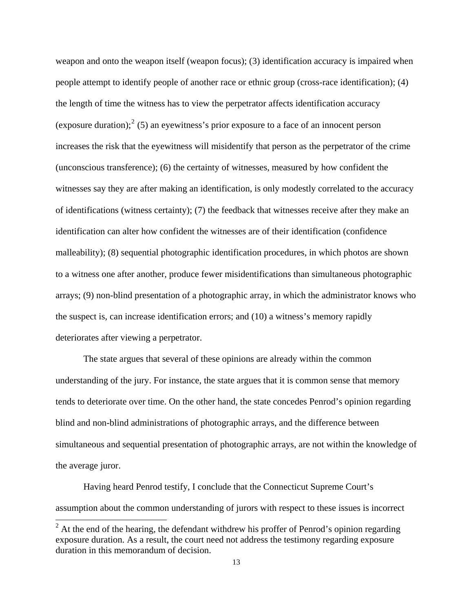weapon and onto the weapon itself (weapon focus); (3) identification accuracy is impaired when people attempt to identify people of another race or ethnic group (cross-race identification); (4) the length of time the witness has to view the perpetrator affects identification accuracy (exposure duration);  $2^{2}$  $2^{2}$  (5) an eyewitness's prior exposure to a face of an innocent person increases the risk that the eyewitness will misidentify that person as the perpetrator of t he crime (unconscious transference); (6) the certainty of witnesses, measured by how confident the witnesses say they are after making an identification, is only modestly correlated to the accuracy of identifications (witness certainty); (7) the feedback that witnesses receive after they make an identification can alter how confident the witnesses are of their identification (confidence malleability); (8) sequential photographic identification procedures, in which photos are shown to a witness one after another, produce fewer misidentifications than simultaneous photographic arrays; (9) non-blind presentation of a photographic array, in which the administrator knows who the suspect is, can increase identification errors; and (10) a witness's memory rapidly deteriorates after viewing a perpetrator.

The state argues that several of these opinions are already within the common understanding of the jury. For instance, the state argues that it is common sense that memory tends to deteriorate over time. On the other hand, the state concedes Penrod's opinion regarding blind and non-blind administrations of photographic arrays, and the difference between simultaneous and sequential presentation of photographic arrays, are not within the knowledge of the average juror.

Having heard Penrod testify, I conclude that the Connecticut Supreme Court's assumption about the common understanding of jurors with respect to these issues is incorrect

<span id="page-12-0"></span><sup>&</sup>lt;sup>2</sup> At the end of the hearing, the defendant withdrew his proffer of Penrod's opinion regarding exposure duration. As a result, the court need not address the testimony regarding exposure duration in this memorandum of decision.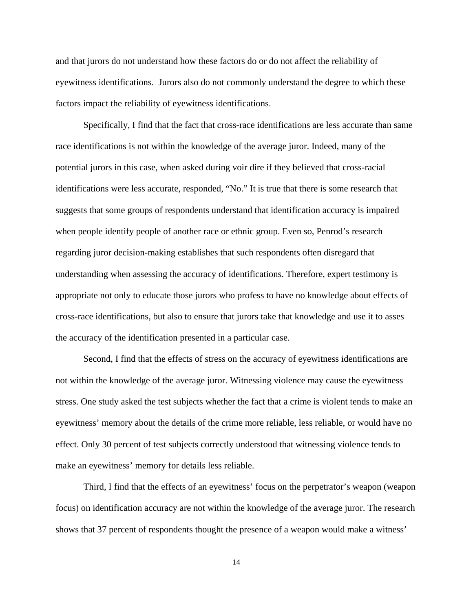and that jurors do not understand how these factors do or do not affect the reliability of eyewitness identifications. Jurors also do not commonly understand the degree to which these factors impact the reliability of eyewitness identifications.

Specifically, I find that the fact that cross-race identifications are less accurate than same race identifications is not within the knowledge of the average juror. Indeed, many of the potential jurors in this case, when asked during voir dire if they believed that cross-racial identifications were less accurate, responded, "No." It is true that there is some research that suggests that some groups of respondents understand that identification accuracy is impaired when people identify people of another race or ethnic group. Even so, Penrod's research regarding juror decision-making establishes that such respondents often disregard that understanding when assessing the accuracy of identifications. Therefore, expert testimony is appropriate not only to educate those jurors who profess to have no knowledge about effects of cross-race identifications, but also to ensure that jurors take that knowledge and use it to asses the accuracy of the identification presented in a particular case.

Second, I find that the effects of stress on the accuracy of eyewitness identifications are not within the knowledge of the average juror. Witnessing violence may cause the eyewitness stress. One study asked the test subjects whether the fact that a crime is violent tends to make an eyewitness' memory about the details of the crime more reliable, less reliable, or would have no effect. Only 30 percent of test subjects correctly understood that witnessing violence tends to make an eyewitness' memory for details less reliable.

Third, I find that the effects of an eyewitness' focus on the perpetrator's weapon (weapon focus) on identification accuracy are not within the knowledge of the average juror. The research shows that 37 percent of respondents thought the presence of a weapon would make a witness'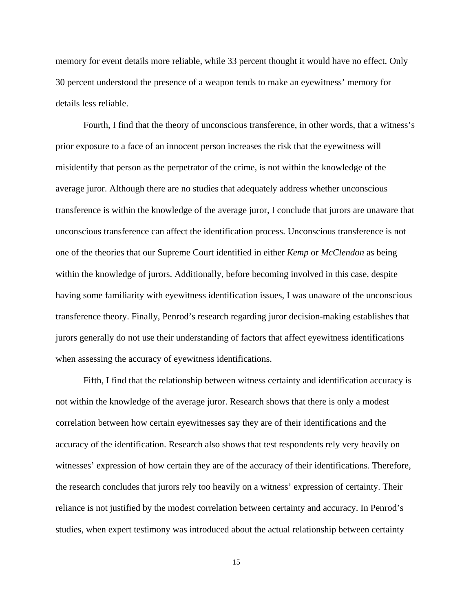memory for event details more reliable, while 33 percent thought it would have no effect. Only 30 percent understood the presence of a weapon tends to make an eyewitness' memory for details less reliable.

Fourth, I find that the theory of unconscious transference, in other words, that a witness's prior exposure to a face of an innocent person increases the risk that the eyewitness will misidentify that person as the perpetrator of the crime, is not within the knowledge of the average juror. Although there are no studies that adequately address whether unconscious transference is within the knowledge of the average juror, I conclude that jurors are unaware that unconscious transference can affect the identification process. Unconscious transference is not one of the theories that our Supreme Court identified in either *Kemp* or *McClendon* as being within the knowledge of jurors. Additionally, before becoming involved in this case, despite having some familiarity with eyewitness identification issues, I was unaware of the unconscious transference theory. Finally, Penrod's research regarding juror decision-making establishes that jurors generally do not use their understanding of factors that affect eyewitness identifications when assessing the accuracy of eyewitness identifications.

Fifth, I find that the relationship between witness certainty and identification accuracy is not within the knowledge of the average juror. Research shows that there is only a modest correlation between how certain eyewitnesses say they are of their identifications and the accuracy of the identification. Research also shows that test respondents rely very heavily on witnesses' expression of how certain they are of the accuracy of their identifications. Therefore, the research concludes that jurors rely too heavily on a witness' expression of certainty. Their reliance is not justified by the modest correlation between certainty and accuracy. In Penrod's studies, when expert testimony was introduced about the actual relationship between certainty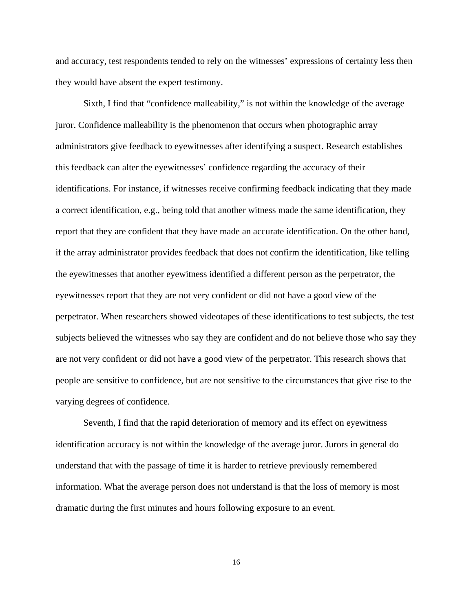and accuracy, test respondents tended to rely on the witnesses' expressions of certainty less then they would have absent the expert testimony.

Sixth, I find that "confidence malleability," is not within the knowledge of the average juror. Confidence malleability is the phenomenon that occurs when photographic array administrators give feedback to eyewitnesses after identifying a suspect. Research establishes this feedback can alter the eyewitnesses' confidence regarding the accuracy of their identifications. For instance, if witnesses receive confirming feedback indicating that they made a correct identification, e.g., being told that another witness made the same identification, they report that they are confident that they have made an accurate identification. On the other hand, if the array administrator provides feedback that does not confirm the identification, like telling the eyewitnesses that another eyewitness identified a different person as the perpetrator, the eyewitnesses report that they are not very confident or did not have a good view of the perpetrator. When researchers showed videotapes of these identifications to test subjects, the test subjects believed the witnesses who say they are confident and do not believe those who say they are not very confident or did not have a good view of the perpetrator. This research shows that people are sensitive to confidence, but are not sensitive to the circumstances that give rise to the varying degrees of confidence.

Seventh, I find that the rapid deterioration of memory and its effect on eyewitness identification accuracy is not within the knowledge of the average juror. Jurors in general do understand that with the passage of time it is harder to retrieve previously remembered information. What the average person does not understand is that the loss of memory is most dramatic during the first minutes and hours following exposure to an event.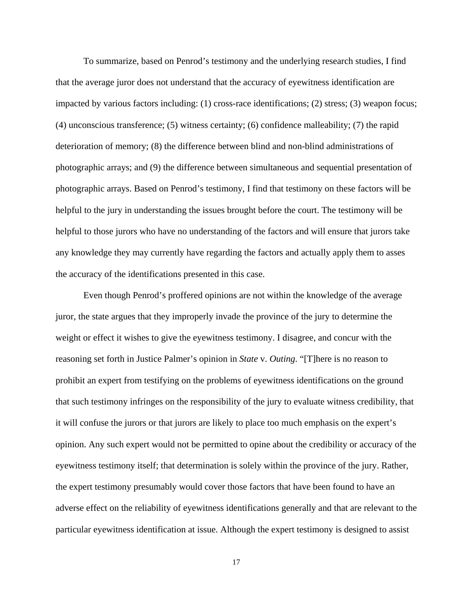To summarize, based on Penrod's testimony and the underlying research studies, I find that the average juror does not understand that the accuracy of eyewitness identification are impacted by various factors including: (1) cross-race identifications; (2) stress; (3) weapon focus; (4) unconscious transference; (5) witness certainty; (6) confidence malleability; (7) the rapid deterioration of memory; (8) the difference between blind and non-blind administrations of photographic arrays; and (9) the difference between simultaneous and sequential presentation of photographic arrays. Based on Penrod's testimony, I find that testimony on these factors will be helpful to the jury in understanding the issues brought before the court. The testimony will be helpful to those jurors who have no understanding of the factors and will ensure that jurors take any knowledge they may currently have regarding the factors and actually apply them to asses the accuracy of the identifications presented in this case.

Even though Penrod's proffered opinions are not within the knowledge of the average juror, the state argues that they improperly invade the province of the jury to determine the weight or effect it wishes to give the eyewitness testimony. I disagree, and concur with the reasoning set forth in Justice Palmer's opinion in *State* v. *Outing*. "[T]here is no reason to prohibit an expert from testifying on the problems of eyewitness identifications on the ground that such testimony infringes on the responsibility of the jury to evaluate witness credibility, that it will confuse the jurors or that jurors are likely to place too much emphasis on the expert's opinion. Any such expert would not be permitted to opine about the credibility or accuracy of the eyewitness testimony itself; that determination is solely within the province of the jury. Rather, the expert testimony presumably would cover those factors that have been found to have an adverse effect on the reliability of eyewitness identifications generally and that are relevant to the particular eyewitness identification at issue. Although the expert testimony is designed to assist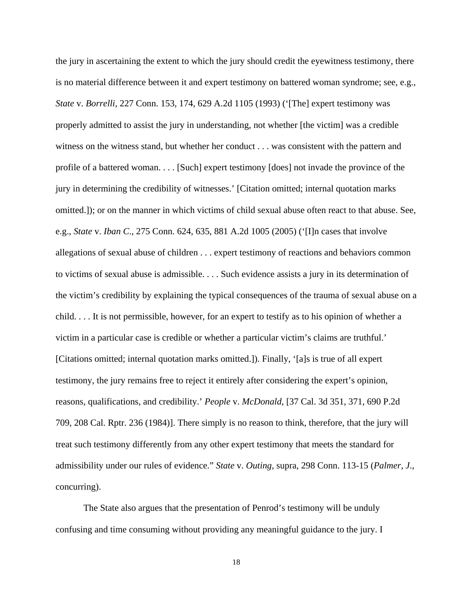the jury in ascertaining the extent to which the jury should credit the eyewitness testimony, there is no material difference between it and expert testimony on battered woman syndrome; see, e.g., *State* v. *Borrelli*, 227 Conn. 153, 174, 629 A.2d 1105 (1993) ('[The] expert testimony was properly admitted to assist the jury in understanding, not whether [the victim] was a credible witness on the witness stand, but whether her conduct . . . was consistent with the pattern and profile of a battered woman. . . . [Such] expert testimony [does] not invade the province of the jury in determining the credibility of witnesses.' [Citation omitted; internal quotation marks omitted.]); or on the manner in which victims of child sexual abuse often react to that abuse. See, e.g., *State* v. *Iban C*., 275 Conn. 624, 635, 881 A.2d 1005 (2005) ('[I]n cases that involve allegations of sexual abuse of children . . . expert testimony of reactions and behaviors common to victims of sexual abuse is admissible. . . . Such evidence assists a jury in its determination of the victim's credibility by explaining the typical consequences of the trauma of sexual abuse on a child. . . . It is not permissible, however, for an expert to testify as to his opinion of whether a victim in a particular case is credible or whether a particular victim's claims are truthful.' [Citations omitted; internal quotation marks omitted.]). Finally, '[a]s is true of all expert testimony, the jury remains free to reject it entirely after considering the expert's opinion, reasons, qualifications, and credibility.' *People* v. *McDonald*, [37 Cal. 3d 351, 371, 690 P.2d 709, 208 Cal. Rptr. 236 (1984)]. There simply is no reason to think, therefore, that the jury will treat such testimony differently from any other expert testimony that meets the standard for admissibility under our rules of evidence." *State* v. *Outing*, supra, 298 Conn. 113-15 (*Palmer*, *J*., concurring).

The State also argues that the presentation of Penrod's testimony will be unduly confusing and time consuming without providing any meaningful guidance to the jury. I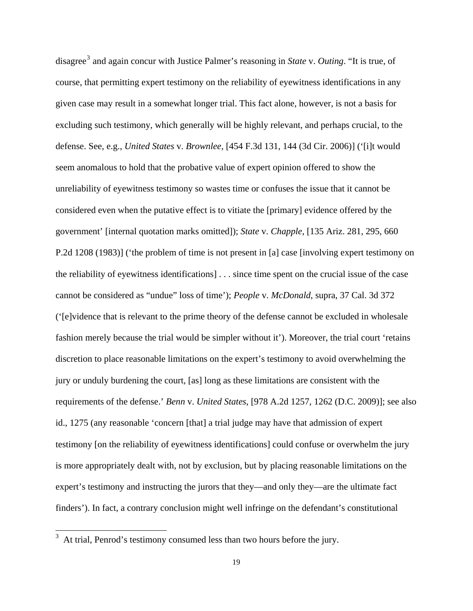disagree[3](#page-18-0) and again concur with Justice Palmer's reasoning in *State* v. *Outing*. "It is true, of course, that permitting expert testimony on the reliability of eyewitness identifications in any given case may result in a somewhat longer trial. This fact alone, however, is not a basis for excluding such testimony, which generally will be highly relevant, and perhaps crucial, to the defense. See, e.g., *United States* v. *Brownlee*, [454 F.3d 131, 144 (3d Cir. 2006)] ('[i]t would seem anomalous to hold that the probative value of expert opinion offered to show the unreliability of eyewitness testimony so wastes time or confuses the issue that it cannot be considered even when the putative effect is to vitiate the [primary] evidence offered by the government' [internal quotation marks omitted]); *State* v. *Chapple*, [135 Ariz. 281, 295, 660 P.2d 1208 (1983)] ('the problem of time is not present in [a] case [involving expert testimony on the reliability of eyewitness identifications] . . . since time spent on the crucial issue of the case cannot be considered as "undue" loss of time'); *People* v. *McDonald*, supra, 37 Cal. 3d 372 ('[e]vidence that is relevant to the prime theory of the defense cannot be excluded in wholesale fashion merely because the trial would be simpler without it'). Moreover, the trial court 'retains discretion to place reasonable limitations on the expert's testimony to avoid overwhelming the jury or unduly burdening the court, [as] long as these limitations are consistent with the requirements of the defense.' *Benn* v. *United States*, [978 A.2d 1257, 1262 (D.C. 2009)]; see also id., 1275 (any reasonable 'concern [that] a trial judge may have that admission of expert testimony [on the reliability of eyewitness identifications] could confuse or overwhelm the jury is more appropriately dealt with, not by exclusion, but by placing reasonable limitations on the expert's testimony and instructing the jurors that they—and only they—are the ultimate fact finders'). In fact, a contrary conclusion might well infringe on the defendant's constitutional

<span id="page-18-0"></span><sup>&</sup>lt;sup>3</sup> At trial, Penrod's testimony consumed less than two hours before the jury.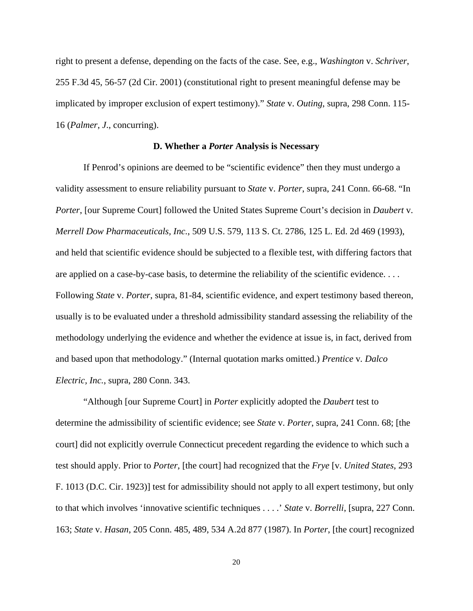right to present a defense, depending on the facts of the case. See, e.g., *Washington* v. *Schriver*, 255 F.3d 45, 56-57 (2d Cir. 2001) (constitutional right to present meaningful defense may be implicated by improper exclusion of expert testimony)." *State* v. *Outing*, supra, 298 Conn. 115- 16 (*Palmer*, *J*., concurring).

### **D. Whether a** *Porter* **Analysis is Necessary**

If Penrod's opinions are deemed to be "scientific evidence" then they must undergo a validity assessment to ensure reliability pursuant to *State* v. *Porter*, supra, 241 Conn. 66-68. "In *Porter*, [our Supreme Court] followed the United States Supreme Court's decision in *Daubert* v. *Merrell Dow Pharmaceuticals, Inc.*, 509 U.S. 579, 113 S. Ct. 2786, 125 L. Ed. 2d 469 (1993), and held that scientific evidence should be subjected to a flexible test, with differing factors that are applied on a case-by-case basis, to determine the reliability of the scientific evidence. . . . Following *State* v. *Porter*, supra, 81-84, scientific evidence, and expert testimony based thereon, usually is to be evaluated under a threshold admissibility standard assessing the reliability of the methodology underlying the evidence and whether the evidence at issue is, in fact, derived from and based upon that methodology." (Internal quotation marks omitted.) *Prentice* v*. Dalco Electric, Inc.*, supra, 280 Conn. 343.

"Although [our Supreme Court] in *Porter* explicitly adopted the *Daubert* test to determine the admissibility of scientific evidence; see *State* v. *Porter*, supra, 241 Conn. 68; [the court] did not explicitly overrule Connecticut precedent regarding the evidence to which such a test should apply. Prior to *Porter*, [the court] had recognized that the *Frye* [v. *United States*, 293 F. 1013 (D.C. Cir. 1923)] test for admissibility should not apply to all expert testimony, but only to that which involves 'innovative scientific techniques . . . .' *State* v. *Borrelli*, [supra, 227 Conn. 163; *State* v. *Hasan*, 205 Conn. 485, 489, 534 A.2d 877 (1987). In *Porter*, [the court] recognized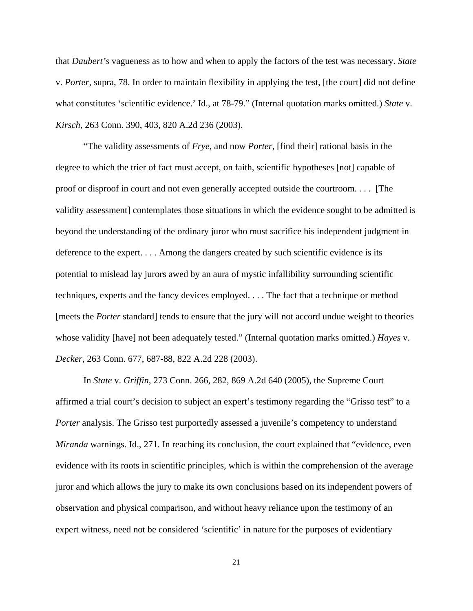that *Daubert's* vagueness as to how and when to apply the factors of the test was necessary. *State* v. *Porter*, supra, 78. In order to maintain flexibility in applying the test, [the court] did not define what constitutes 'scientific evidence.' Id., at 78-79." (Internal quotation marks omitted.) *State* v. *Kirsch*, 263 Conn. 390, 403, 820 A.2d 236 (2003).

"The validity assessments of *Frye*, and now *Porter*, [find their] rational basis in the degree to which the trier of fact must accept, on faith, scientific hypotheses [not] capable of proof or disproof in court and not even generally accepted outside the courtroom. . . . [The validity assessment] contemplates those situations in which the evidence sought to be admitted is beyond the understanding of the ordinary juror who must sacrifice his independent judgment in deference to the expert. . . . Among the dangers created by such scientific evidence is its potential to mislead lay jurors awed by an aura of mystic infallibility surrounding scientific techniques, experts and the fancy devices employed. . . . The fact that a technique or method [meets the *Porter* standard] tends to ensure that the jury will not accord undue weight to theories whose validity [have] not been adequately tested." (Internal quotation marks omitted.) *Hayes* v. *Decker*, 263 Conn. 677, 687-88, 822 A.2d 228 (2003).

In *State* v. *Griffin*, 273 Conn. 266, 282, 869 A.2d 640 (2005), the Supreme Court affirmed a trial court's decision to subject an expert's testimony regarding the "Grisso test" to a *Porter* analysis. The Grisso test purportedly assessed a juvenile's competency to understand *Miranda* warnings. Id., 271. In reaching its conclusion, the court explained that "evidence, even evidence with its roots in scientific principles, which is within the comprehension of the average juror and which allows the jury to make its own conclusions based on its independent powers of observation and physical comparison, and without heavy reliance upon the testimony of an expert witness, need not be considered 'scientific' in nature for the purposes of evidentiary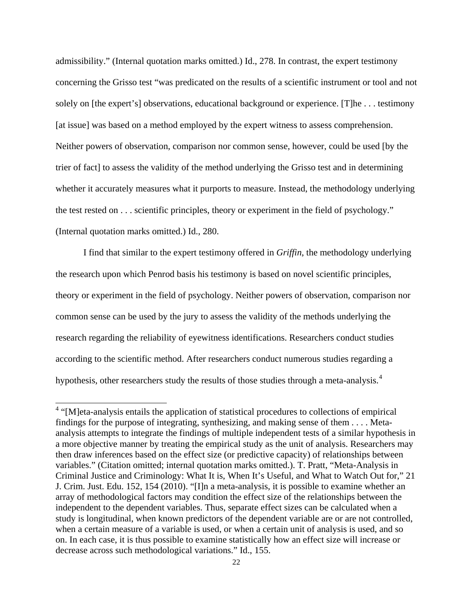admissibility." (Internal quotation marks omitted.) Id., 278. In contrast, the expert testimony concerning the Grisso test "was predicated on the results of a scientific instrument or tool and not solely on [the expert's] observations, educational background or experience. [T]he . . . testimony [at issue] was based on a method employed by the expert witness to assess comprehension. Neither powers of observation, comparison nor common sense, however, could be used [by the trier of fact] to assess the validity of the method underlying the Grisso test and in determining whether it accurately measures what it purports to measure. Instead, the methodology underlying the test rested on . . . scientific principles, theory or experiment in the field of psychology." (Internal quotation marks omitted.) Id., 280.

I find that similar to the expert testimony offered in *Griffin*, the methodology underlying the research upon which Penrod basis his testimony is based on novel scientific principles, theory or experiment in the field of psychology. Neither powers of observation, comparison nor common sense can be used by the jury to assess the validity of the methods underlying the research regarding the reliability of eyewitness identifications. Researchers conduct studies according to the scientific method. After researchers conduct numerous studies regarding a hypothesis, other researchers study the results of those studies through a meta-analysis.[4](#page-21-0)

<span id="page-21-0"></span><sup>&</sup>lt;sup>4</sup> "[M]eta-analysis entails the application of statistical procedures to collections of empirical findings for the purpose of integrating, synthesizing, and making sense of them . . . . Metaanalysis attempts to integrate the findings of multiple independent tests of a similar hypothesis in a more objective manner by treating the empirical study as the unit of analysis. Researchers may then draw inferences based on the effect size (or predictive capacity) of relationships between variables." (Citation omitted; internal quotation marks omitted.). T. Pratt, "Meta-Analysis in Criminal Justice and Criminology: What It is, When It's Useful, and What to Watch Out for," 21 J. Crim. Just. Edu. 152, 154 (2010). "[I]n a meta-analysis, it is possible to examine whether an array of methodological factors may condition the effect size of the relationships between the independent to the dependent variables. Thus, separate effect sizes can be calculated when a study is longitudinal, when known predictors of the dependent variable are or are not controlled, when a certain measure of a variable is used, or when a certain unit of analysis is used, and so on. In each case, it is thus possible to examine statistically how an effect size will increase or decrease across such methodological variations." Id., 155.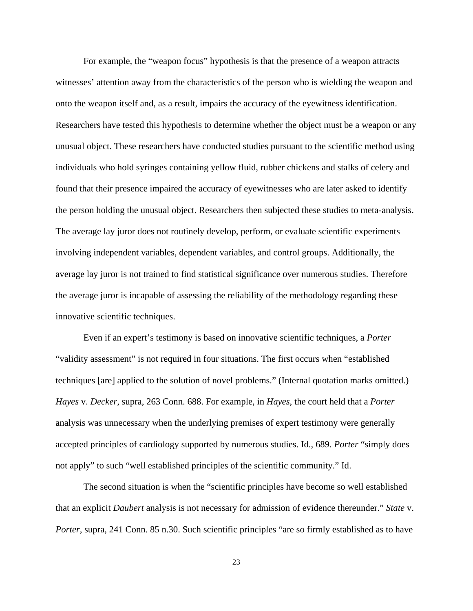For example, the "weapon focus" hypothesis is that the presence of a weapon attracts witnesses' attention away from the characteristics of the person who is wielding the weapon and onto the weapon itself and, as a result, impairs the accuracy of the eyewitness identification. Researchers have tested this hypothesis to determine whether the object must be a weapon or any unusual object. These researchers have conducted studies pursuant to the scientific method using individuals who hold syringes containing yellow fluid, rubber chickens and stalks of celery and found that their presence impaired the accuracy of eyewitnesses who are later asked to identify the person holding the unusual object. Researchers then subjected these studies to meta-analysis. The average lay juror does not routinely develop, perform, or evaluate scientific experiments involving independent variables, dependent variables, and control groups. Additionally, the average lay juror is not trained to find statistical significance over numerous studies. Therefore the average juror is incapable of assessing the reliability of the methodology regarding these innovative scientific techniques.

Even if an expert's testimony is based on innovative scientific techniques, a *Porter* "validity assessment" is not required in four situations. The first occurs when "established techniques [are] applied to the solution of novel problems." (Internal quotation marks omitted.) *Hayes* v. *Decker*, supra, 263 Conn. 688. For example, in *Hayes*, the court held that a *Porter* analysis was unnecessary when the underlying premises of expert testimony were generally accepted principles of cardiology supported by numerous studies. Id., 689. *Porter* "simply does not apply" to such "well established principles of the scientific community." Id.

The second situation is when the "scientific principles have become so well established that an explicit *Daubert* analysis is not necessary for admission of evidence thereunder." *State* v. *Porter*, supra, 241 Conn. 85 n.30. Such scientific principles "are so firmly established as to have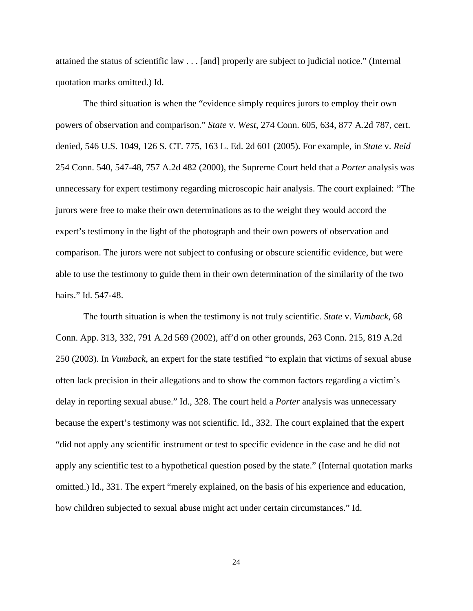attained the status of scientific law . . . [and] properly are subject to judicial notice." (Internal quotation marks omitted.) Id.

The third situation is when the "evidence simply requires jurors to employ their own powers of observation and comparison." *State* v. *West*, 274 Conn. 605, 634, 877 A.2d 787, cert. denied, 546 U.S. 1049, 126 S. CT. 775, 163 L. Ed. 2d 601 (2005). For example, in *State* v. *Reid* 254 Conn. 540, 547-48, 757 A.2d 482 (2000), the Supreme Court held that a *Porter* analysis was unnecessary for expert testimony regarding microscopic hair analysis. The court explained: "The jurors were free to make their own determinations as to the weight they would accord the expert's testimony in the light of the photograph and their own powers of observation and comparison. The jurors were not subject to confusing or obscure scientific evidence, but were able to use the testimony to guide them in their own determination of the similarity of the two hairs." Id. 547-48.

The fourth situation is when the testimony is not truly scientific. *State* v. *Vumback*, 68 Conn. App. 313, 332, 791 A.2d 569 (2002), aff'd on other grounds, 263 Conn. 215, 819 A.2d 250 (2003). In *Vumback*, an expert for the state testified "to explain that victims of sexual abuse often lack precision in their allegations and to show the common factors regarding a victim's delay in reporting sexual abuse." Id., 328. The court held a *Porter* analysis was unnecessary because the expert's testimony was not scientific. Id., 332. The court explained that the expert "did not apply any scientific instrument or test to specific evidence in the case and he did not apply any scientific test to a hypothetical question posed by the state." (Internal quotation marks omitted.) Id., 331. The expert "merely explained, on the basis of his experience and education, how children subjected to sexual abuse might act under certain circumstances." Id.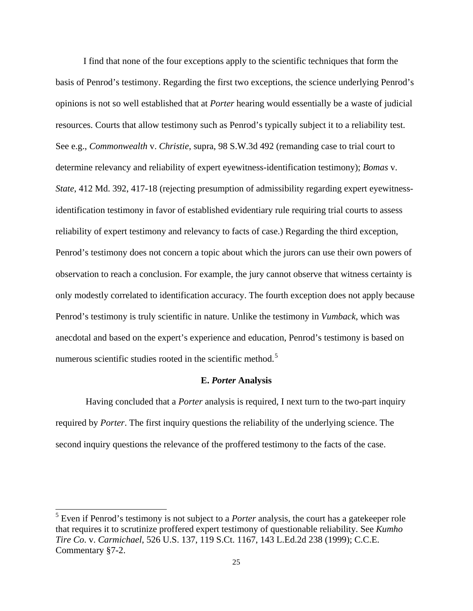I find that none of the four exceptions apply to the scientific techniques that form the basis of Penrod's testimony. Regarding the first two exceptions, the science underlying Penrod's opinions is not so well established that at *Porter* hearing would essentially be a waste of judicial resources. Courts that allow testimony such as Penrod's typically subject it to a reliability test. See e.g., *Commonwealth* v. *Christie*, supra, 98 S.W.3d 492 (remanding case to trial court to determine relevancy and reliability of expert eyewitness-identification testimony); *Bomas* v. *State*, 412 Md. 392, 417-18 (rejecting presumption of admissibility regarding expert eyewitnessidentification testimony in favor of established evidentiary rule requiring trial courts to assess reliability of expert testimony and relevancy to facts of case.) Regarding the third exception, Penrod's testimony does not concern a topic about which the jurors can use their own powers of observation to reach a conclusion. For example, the jury cannot observe that witness certainty is only modestly correlated to identification accuracy. The fourth exception does not apply because Penrod's testimony is truly scientific in nature. Unlike the testimony in *Vumback*, which was anecdotal and based on the expert's experience and education, Penrod's testimony is based on numerous scientific studies rooted in the scientific method.<sup>[5](#page-24-0)</sup>

### **E.** *Porter* **Analysis**

 Having concluded that a *Porter* analysis is required, I next turn to the two-part inquiry required by *Porter*. The first inquiry questions the reliability of the underlying science. The second inquiry questions the relevance of the proffered testimony to the facts of the case.

 $\overline{a}$ 

<span id="page-24-0"></span><sup>&</sup>lt;sup>5</sup> Even if Penrod's testimony is not subject to a *Porter* analysis, the court has a gatekeeper role that requires it to scrutinize proffered expert testimony of questionable reliability. See *Kumho Tire Co*. v. *Carmichael*, 526 U.S. 137, 119 S.Ct. 1167, 143 L.Ed.2d 238 (1999); C.C.E. Commentary §7-2.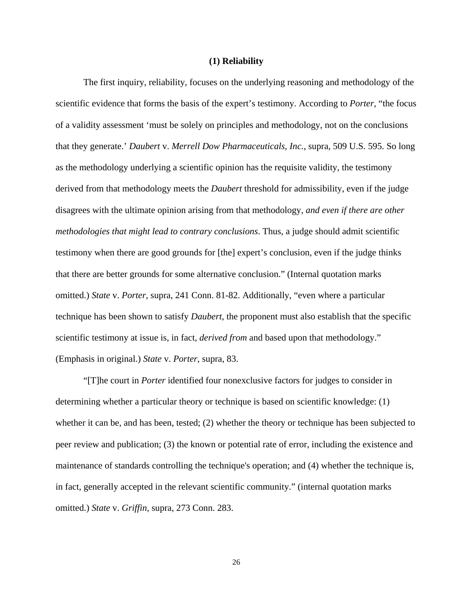### **(1) Reliability**

The first inquiry, reliability, focuses on the underlying reasoning and methodology of the scientific evidence that forms the basis of the expert's testimony. According to *Porter*, "the focus of a validity assessment 'must be solely on principles and methodology, not on the conclusions that they generate.' *Daubert* v. *Merrell Dow Pharmaceuticals, Inc.*, supra, 509 U.S. 595. So long as the methodology underlying a scientific opinion has the requisite validity, the testimony derived from that methodology meets the *Daubert* threshold for admissibility, even if the judge disagrees with the ultimate opinion arising from that methodology, *and even if there are other methodologies that might lead to contrary conclusions*. Thus, a judge should admit scientific testimony when there are good grounds for [the] expert's conclusion, even if the judge thinks that there are better grounds for some alternative conclusion." (Internal quotation marks omitted.) *State* v. *Porter*, supra, 241 Conn. 81-82. Additionally, "even where a particular technique has been shown to satisfy *Daubert*, the proponent must also establish that the specific scientific testimony at issue is, in fact, *derived from* and based upon that methodology." (Emphasis in original.) *State* v. *Porter*, supra, 83.

"[T]he court in *Porter* identified four nonexclusive factors for judges to consider in determining whether a particular theory or technique is based on scientific knowledge: (1) whether it can be, and has been, tested; (2) whether the theory or technique has been subjected to peer review and publication; (3) the known or potential rate of error, including the existence and maintenance of standards controlling the technique's operation; and (4) whether the technique is, in fact, generally accepted in the relevant scientific community." (internal quotation marks omitted.) *State* v. *Griffin*, supra, 273 Conn. 283.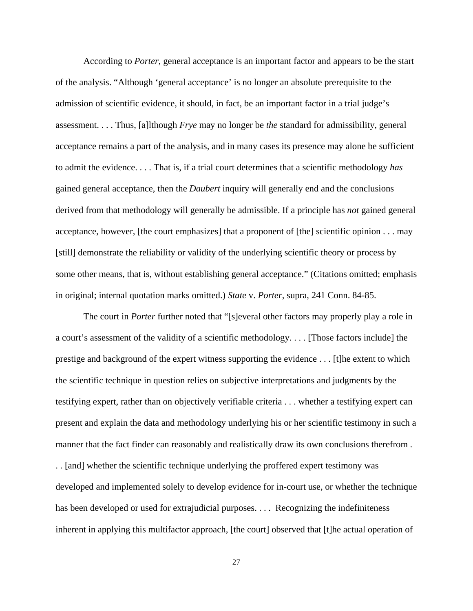According to *Porter*, general acceptance is an important factor and appears to be the start of the analysis. "Although 'general acceptance' is no longer an absolute prerequisite to the admission of scientific evidence, it should, in fact, be an important factor in a trial judge's assessment. . . . Thus, [a]lthough *Frye* may no longer be *the* standard for admissibility, general acceptance remains a part of the analysis, and in many cases its presence may alone be sufficient to admit the evidence. . . . That is, if a trial court determines that a scientific methodology *has* gained general acceptance, then the *Daubert* inquiry will generally end and the conclusions derived from that methodology will generally be admissible. If a principle has *not* gained general acceptance, however, [the court emphasizes] that a proponent of [the] scientific opinion . . . may [still] demonstrate the reliability or validity of the underlying scientific theory or process by some other means, that is, without establishing general acceptance." (Citations omitted; emphasis in original; internal quotation marks omitted.) *State* v. *Porter*, supra, 241 Conn. 84-85.

The court in *Porter* further noted that "[s]everal other factors may properly play a role in a court's assessment of the validity of a scientific methodology. . . . [Those factors include] the prestige and background of the expert witness supporting the evidence . . . [t]he extent to which the scientific technique in question relies on subjective interpretations and judgments by the testifying expert, rather than on objectively verifiable criteria . . . whether a testifying expert can present and explain the data and methodology underlying his or her scientific testimony in such a manner that the fact finder can reasonably and realistically draw its own conclusions therefrom . . . [and] whether the scientific technique underlying the proffered expert testimony was developed and implemented solely to develop evidence for in-court use, or whether the technique has been developed or used for extrajudicial purposes. . . . Recognizing the indefiniteness inherent in applying this multifactor approach, [the court] observed that [t]he actual operation of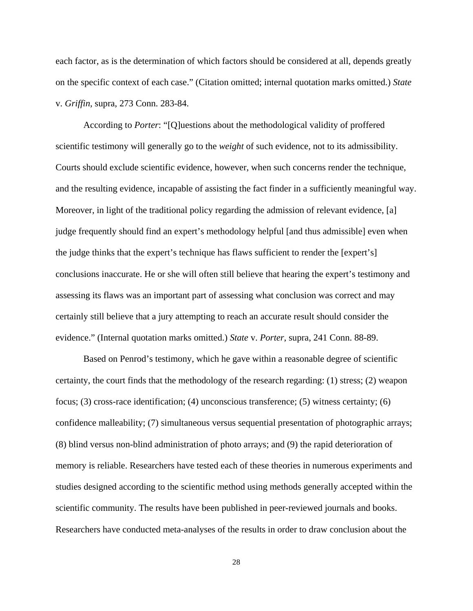each factor, as is the determination of which factors should be considered at all, depends greatly on the specific context of each case." (Citation omitted; internal quotation marks omitted.) *State* v. *Griffin*, supra, 273 Conn. 283-84.

 According to *Porter*: "[Q]uestions about the methodological validity of proffered scientific testimony will generally go to the *weight* of such evidence, not to its admissibility. Courts should exclude scientific evidence, however, when such concerns render the technique, and the resulting evidence, incapable of assisting the fact finder in a sufficiently meaningful way. Moreover, in light of the traditional policy regarding the admission of relevant evidence, [a] judge frequently should find an expert's methodology helpful [and thus admissible] even when the judge thinks that the expert's technique has flaws sufficient to render the [expert's] conclusions inaccurate. He or she will often still believe that hearing the expert's testimony and assessing its flaws was an important part of assessing what conclusion was correct and may certainly still believe that a jury attempting to reach an accurate result should consider the evidence." (Internal quotation marks omitted.) *State* v. *Porter*, supra, 241 Conn. 88-89.

Based on Penrod's testimony, which he gave within a reasonable degree of scientific certainty, the court finds that the methodology of the research regarding: (1) stress; (2) weapon focus; (3) cross-race identification; (4) unconscious transference; (5) witness certainty; (6) confidence malleability; (7) simultaneous versus sequential presentation of photographic arrays; (8) blind versus non-blind administration of photo arrays; and (9) the rapid deterioration of memory is reliable. Researchers have tested each of these theories in numerous experiments and studies designed according to the scientific method using methods generally accepted within the scientific community. The results have been published in peer-reviewed journals and books. Researchers have conducted meta-analyses of the results in order to draw conclusion about the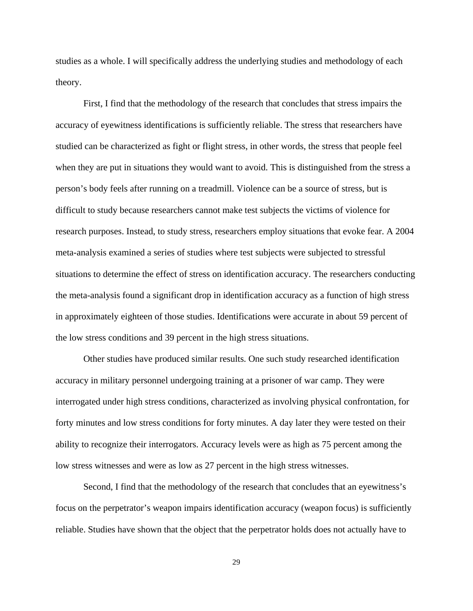studies as a whole. I will specifically address the underlying studies and methodology of each theory.

First, I find that the methodology of the research that concludes that stress impairs the accuracy of eyewitness identifications is sufficiently reliable. The stress that researchers have studied can be characterized as fight or flight stress, in other words, the stress that people feel when they are put in situations they would want to avoid. This is distinguished from the stress a person's body feels after running on a treadmill. Violence can be a source of stress, but is difficult to study because researchers cannot make test subjects the victims of violence for research purposes. Instead, to study stress, researchers employ situations that evoke fear. A 2004 meta-analysis examined a series of studies where test subjects were subjected to stressful situations to determine the effect of stress on identification accuracy. The researchers conducting the meta-analysis found a significant drop in identification accuracy as a function of high stress in approximately eighteen of those studies. Identifications were accurate in about 59 percent of the low stress conditions and 39 percent in the high stress situations.

Other studies have produced similar results. One such study researched identification accuracy in military personnel undergoing training at a prisoner of war camp. They were interrogated under high stress conditions, characterized as involving physical confrontation, for forty minutes and low stress conditions for forty minutes. A day later they were tested on their ability to recognize their interrogators. Accuracy levels were as high as 75 percent among the low stress witnesses and were as low as 27 percent in the high stress witnesses.

Second, I find that the methodology of the research that concludes that an eyewitness's focus on the perpetrator's weapon impairs identification accuracy (weapon focus) is sufficiently reliable. Studies have shown that the object that the perpetrator holds does not actually have to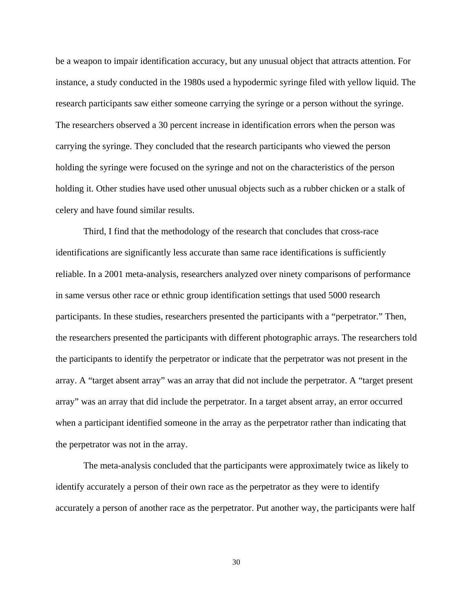be a weapon to impair identification accuracy, but any unusual object that attracts attention. For instance, a study conducted in the 1980s used a hypodermic syringe filed with yellow liquid. The research participants saw either someone carrying the syringe or a person without the syringe. The researchers observed a 30 percent increase in identification errors when the person was carrying the syringe. They concluded that the research participants who viewed the person holding the syringe were focused on the syringe and not on the characteristics of the person holding it. Other studies have used other unusual objects such as a rubber chicken or a stalk of celery and have found similar results.

Third, I find that the methodology of the research that concludes that cross-race identifications are significantly less accurate than same race identifications is sufficiently reliable. In a 2001 meta-analysis, researchers analyzed over ninety comparisons of performance in same versus other race or ethnic group identification settings that used 5000 research participants. In these studies, researchers presented the participants with a "perpetrator." Then, the researchers presented the participants with different photographic arrays. The researchers told the participants to identify the perpetrator or indicate that the perpetrator was not present in the array. A "target absent array" was an array that did not include the perpetrator. A "target present array" was an array that did include the perpetrator. In a target absent array, an error occurred when a participant identified someone in the array as the perpetrator rather than indicating that the perpetrator was not in the array.

The meta-analysis concluded that the participants were approximately twice as likely to identify accurately a person of their own race as the perpetrator as they were to identify accurately a person of another race as the perpetrator. Put another way, the participants were half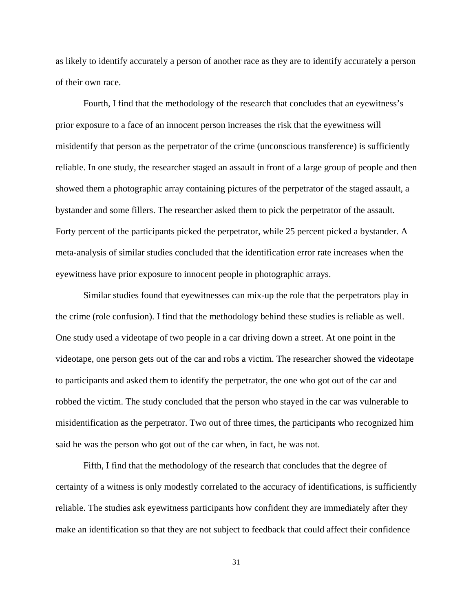as likely to identify accurately a person of another race as they are to identify accurately a person of their own race.

Fourth, I find that the methodology of the research that concludes that an eyewitness's prior exposure to a face of an innocent person increases the risk that the eyewitness will misidentify that person as the perpetrator of the crime (unconscious transference) is sufficiently reliable. In one study, the researcher staged an assault in front of a large group of people and then showed them a photographic array containing pictures of the perpetrator of the staged assault, a bystander and some fillers. The researcher asked them to pick the perpetrator of the assault. Forty percent of the participants picked the perpetrator, while 25 percent picked a bystander. A meta-analysis of similar studies concluded that the identification error rate increases when the eyewitness have prior exposure to innocent people in photographic arrays.

Similar studies found that eyewitnesses can mix-up the role that the perpetrators play in the crime (role confusion). I find that the methodology behind these studies is reliable as well. One study used a videotape of two people in a car driving down a street. At one point in the videotape, one person gets out of the car and robs a victim. The researcher showed the videotape to participants and asked them to identify the perpetrator, the one who got out of the car and robbed the victim. The study concluded that the person who stayed in the car was vulnerable to misidentification as the perpetrator. Two out of three times, the participants who recognized him said he was the person who got out of the car when, in fact, he was not.

Fifth, I find that the methodology of the research that concludes that the degree of certainty of a witness is only modestly correlated to the accuracy of identifications, is sufficiently reliable. The studies ask eyewitness participants how confident they are immediately after they make an identification so that they are not subject to feedback that could affect their confidence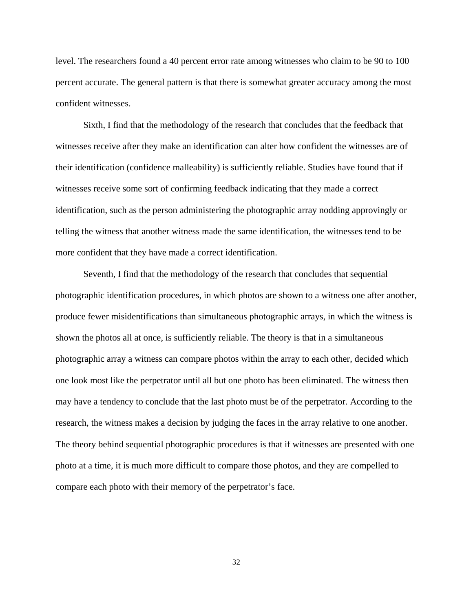level. The researchers found a 40 percent error rate among witnesses who claim to be 90 to 100 percent accurate. The general pattern is that there is somewhat greater accuracy among the most confident witnesses.

Sixth, I find that the methodology of the research that concludes that the feedback that witnesses receive after they make an identification can alter how confident the witnesses are of their identification (confidence malleability) is sufficiently reliable. Studies have found that if witnesses receive some sort of confirming feedback indicating that they made a correct identification, such as the person administering the photographic array nodding approvingly or telling the witness that another witness made the same identification, the witnesses tend to be more confident that they have made a correct identification.

Seventh, I find that the methodology of the research that concludes that sequential photographic identification procedures, in which photos are shown to a witness one after another, produce fewer misidentifications than simultaneous photographic arrays, in which the witness is shown the photos all at once, is sufficiently reliable. The theory is that in a simultaneous photographic array a witness can compare photos within the array to each other, decided which one look most like the perpetrator until all but one photo has been eliminated. The witness then may have a tendency to conclude that the last photo must be of the perpetrator. According to the research, the witness makes a decision by judging the faces in the array relative to one another. The theory behind sequential photographic procedures is that if witnesses are presented with one photo at a time, it is much more difficult to compare those photos, and they are compelled to compare each photo with their memory of the perpetrator's face.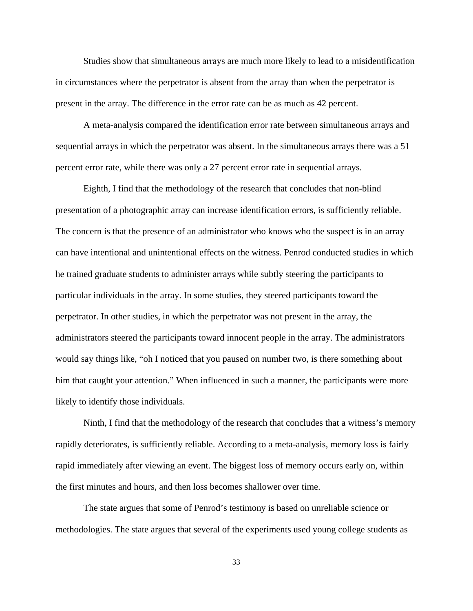Studies show that simultaneous arrays are much more likely to lead to a misidentification in circumstances where the perpetrator is absent from the array than when the perpetrator is present in the array. The difference in the error rate can be as much as 42 percent.

A meta-analysis compared the identification error rate between simultaneous arrays and sequential arrays in which the perpetrator was absent. In the simultaneous arrays there was a 51 percent error rate, while there was only a 27 percent error rate in sequential arrays.

Eighth, I find that the methodology of the research that concludes that non-blind presentation of a photographic array can increase identification errors, is sufficiently reliable. The concern is that the presence of an administrator who knows who the suspect is in an array can have intentional and unintentional effects on the witness. Penrod conducted studies in which he trained graduate students to administer arrays while subtly steering the participants to particular individuals in the array. In some studies, they steered participants toward the perpetrator. In other studies, in which the perpetrator was not present in the array, the administrators steered the participants toward innocent people in the array. The administrators would say things like, "oh I noticed that you paused on number two, is there something about him that caught your attention." When influenced in such a manner, the participants were more likely to identify those individuals.

Ninth, I find that the methodology of the research that concludes that a witness's memory rapidly deteriorates, is sufficiently reliable. According to a meta-analysis, memory loss is fairly rapid immediately after viewing an event. The biggest loss of memory occurs early on, within the first minutes and hours, and then loss becomes shallower over time.

The state argues that some of Penrod's testimony is based on unreliable science or methodologies. The state argues that several of the experiments used young college students as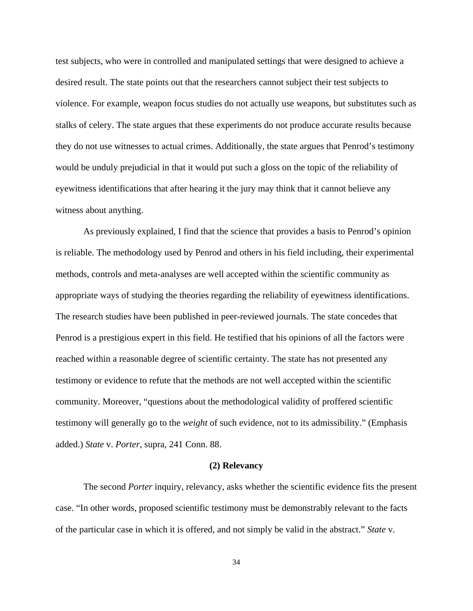test subjects, who were in controlled and manipulated settings that were designed to achieve a desired result. The state points out that the researchers cannot subject their test subjects to violence. For example, weapon focus studies do not actually use weapons, but substitutes such as stalks of celery. The state argues that these experiments do not produce accurate results because they do not use witnesses to actual crimes. Additionally, the state argues that Penrod's testimony would be unduly prejudicial in that it would put such a gloss on the topic of the reliability of eyewitness identifications that after hearing it the jury may think that it cannot believe any witness about anything.

As previously explained, I find that the science that provides a basis to Penrod's opinion is reliable. The methodology used by Penrod and others in his field including, their experimental methods, controls and meta-analyses are well accepted within the scientific community as appropriate ways of studying the theories regarding the reliability of eyewitness identifications. The research studies have been published in peer-reviewed journals. The state concedes that Penrod is a prestigious expert in this field. He testified that his opinions of all the factors were reached within a reasonable degree of scientific certainty. The state has not presented any testimony or evidence to refute that the methods are not well accepted within the scientific community. Moreover, "questions about the methodological validity of proffered scientific testimony will generally go to the *weight* of such evidence, not to its admissibility." (Emphasis added.) *State* v. *Porter*, supra, 241 Conn. 88.

#### **(2) Relevancy**

The second *Porter* inquiry, relevancy, asks whether the scientific evidence fits the present case. "In other words, proposed scientific testimony must be demonstrably relevant to the facts of the particular case in which it is offered, and not simply be valid in the abstract." *State* v.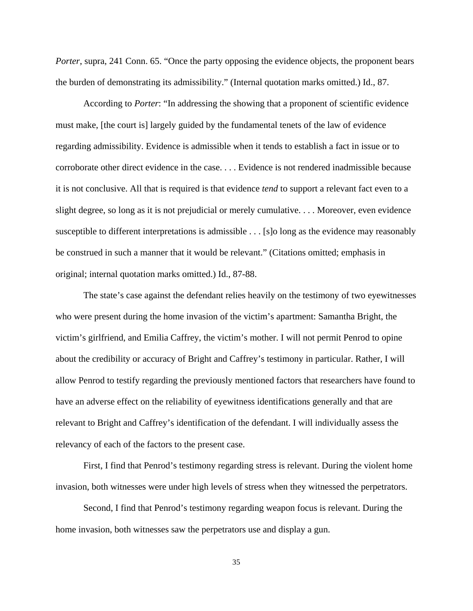*Porter*, supra, 241 Conn. 65. "Once the party opposing the evidence objects, the proponent bears the burden of demonstrating its admissibility." (Internal quotation marks omitted.) Id., 87.

According to *Porter*: "In addressing the showing that a proponent of scientific evidence must make, [the court is] largely guided by the fundamental tenets of the law of evidence regarding admissibility. Evidence is admissible when it tends to establish a fact in issue or to corroborate other direct evidence in the case. . . . Evidence is not rendered inadmissible because it is not conclusive. All that is required is that evidence *tend* to support a relevant fact even to a slight degree, so long as it is not prejudicial or merely cumulative. . . . Moreover, even evidence susceptible to different interpretations is admissible . . . [s]o long as the evidence may reasonably be construed in such a manner that it would be relevant." (Citations omitted; emphasis in original; internal quotation marks omitted.) Id., 87-88.

The state's case against the defendant relies heavily on the testimony of two eyewitnesses who were present during the home invasion of the victim's apartment: Samantha Bright, the victim's girlfriend, and Emilia Caffrey, the victim's mother. I will not permit Penrod to opine about the credibility or accuracy of Bright and Caffrey's testimony in particular. Rather, I will allow Penrod to testify regarding the previously mentioned factors that researchers have found to have an adverse effect on the reliability of eyewitness identifications generally and that are relevant to Bright and Caffrey's identification of the defendant. I will individually assess the relevancy of each of the factors to the present case.

First, I find that Penrod's testimony regarding stress is relevant. During the violent home invasion, both witnesses were under high levels of stress when they witnessed the perpetrators.

Second, I find that Penrod's testimony regarding weapon focus is relevant. During the home invasion, both witnesses saw the perpetrators use and display a gun.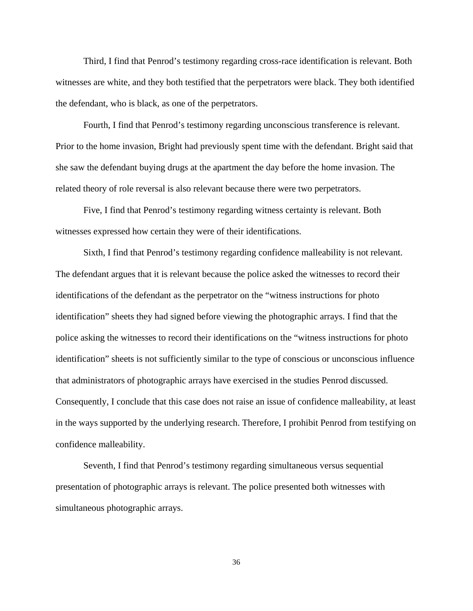Third, I find that Penrod's testimony regarding cross-race identification is relevant. Both witnesses are white, and they both testified that the perpetrators were black. They both identified the defendant, who is black, as one of the perpetrators.

Fourth, I find that Penrod's testimony regarding unconscious transference is relevant. Prior to the home invasion, Bright had previously spent time with the defendant. Bright said that she saw the defendant buying drugs at the apartment the day before the home invasion. The related theory of role reversal is also relevant because there were two perpetrators.

Five, I find that Penrod's testimony regarding witness certainty is relevant. Both witnesses expressed how certain they were of their identifications.

 Sixth, I find that Penrod's testimony regarding confidence malleability is not relevant. The defendant argues that it is relevant because the police asked the witnesses to record their identifications of the defendant as the perpetrator on the "witness instructions for photo identification" sheets they had signed before viewing the photographic arrays. I find that the police asking the witnesses to record their identifications on the "witness instructions for photo identification" sheets is not sufficiently similar to the type of conscious or unconscious influence that administrators of photographic arrays have exercised in the studies Penrod discussed. Consequently, I conclude that this case does not raise an issue of confidence malleability, at least in the ways supported by the underlying research. Therefore, I prohibit Penrod from testifying on confidence malleability.

Seventh, I find that Penrod's testimony regarding simultaneous versus sequential presentation of photographic arrays is relevant. The police presented both witnesses with simultaneous photographic arrays.